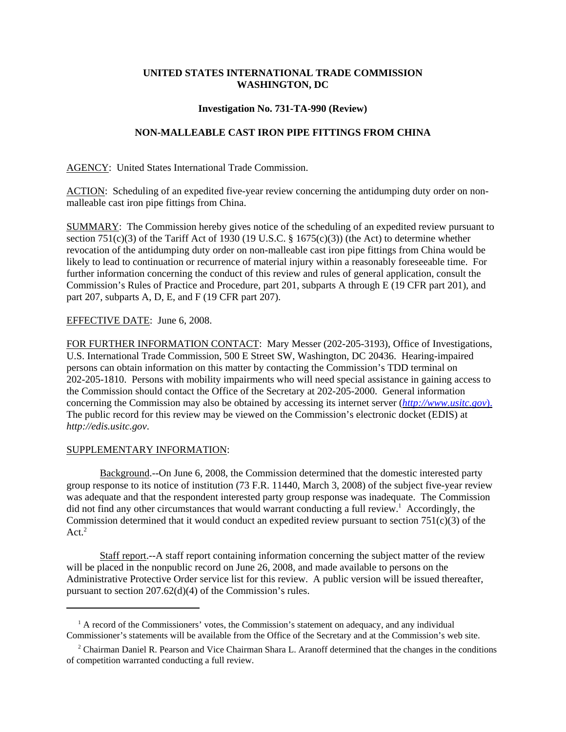## **UNITED STATES INTERNATIONAL TRADE COMMISSION WASHINGTON, DC**

### **Investigation No. 731-TA-990 (Review)**

# **NON-MALLEABLE CAST IRON PIPE FITTINGS FROM CHINA**

AGENCY: United States International Trade Commission.

ACTION: Scheduling of an expedited five-year review concerning the antidumping duty order on nonmalleable cast iron pipe fittings from China.

SUMMARY: The Commission hereby gives notice of the scheduling of an expedited review pursuant to section 751(c)(3) of the Tariff Act of 1930 (19 U.S.C.  $\S$  1675(c)(3)) (the Act) to determine whether revocation of the antidumping duty order on non-malleable cast iron pipe fittings from China would be likely to lead to continuation or recurrence of material injury within a reasonably foreseeable time. For further information concerning the conduct of this review and rules of general application, consult the Commission's Rules of Practice and Procedure, part 201, subparts A through E (19 CFR part 201), and part 207, subparts A, D, E, and F (19 CFR part 207).

### EFFECTIVE DATE: June 6, 2008.

FOR FURTHER INFORMATION CONTACT: Mary Messer (202-205-3193), Office of Investigations, U.S. International Trade Commission, 500 E Street SW, Washington, DC 20436. Hearing-impaired persons can obtain information on this matter by contacting the Commission's TDD terminal on 202-205-1810. Persons with mobility impairments who will need special assistance in gaining access to the Commission should contact the Office of the Secretary at 202-205-2000. General information concerning the Commission may also be obtained by accessing its internet server (*http://www.usitc.gov*). The public record for this review may be viewed on the Commission's electronic docket (EDIS) at *http://edis.usitc.gov*.

#### SUPPLEMENTARY INFORMATION:

Background.--On June 6, 2008, the Commission determined that the domestic interested party group response to its notice of institution (73 F.R. 11440, March 3, 2008) of the subject five-year review was adequate and that the respondent interested party group response was inadequate. The Commission did not find any other circumstances that would warrant conducting a full review.<sup>1</sup> Accordingly, the Commission determined that it would conduct an expedited review pursuant to section  $751(c)(3)$  of the  $Act.<sup>2</sup>$ 

Staff report.--A staff report containing information concerning the subject matter of the review will be placed in the nonpublic record on June 26, 2008, and made available to persons on the Administrative Protective Order service list for this review. A public version will be issued thereafter, pursuant to section 207.62(d)(4) of the Commission's rules.

<sup>&</sup>lt;sup>1</sup> A record of the Commissioners' votes, the Commission's statement on adequacy, and any individual Commissioner's statements will be available from the Office of the Secretary and at the Commission's web site.

<sup>&</sup>lt;sup>2</sup> Chairman Daniel R. Pearson and Vice Chairman Shara L. Aranoff determined that the changes in the conditions of competition warranted conducting a full review.